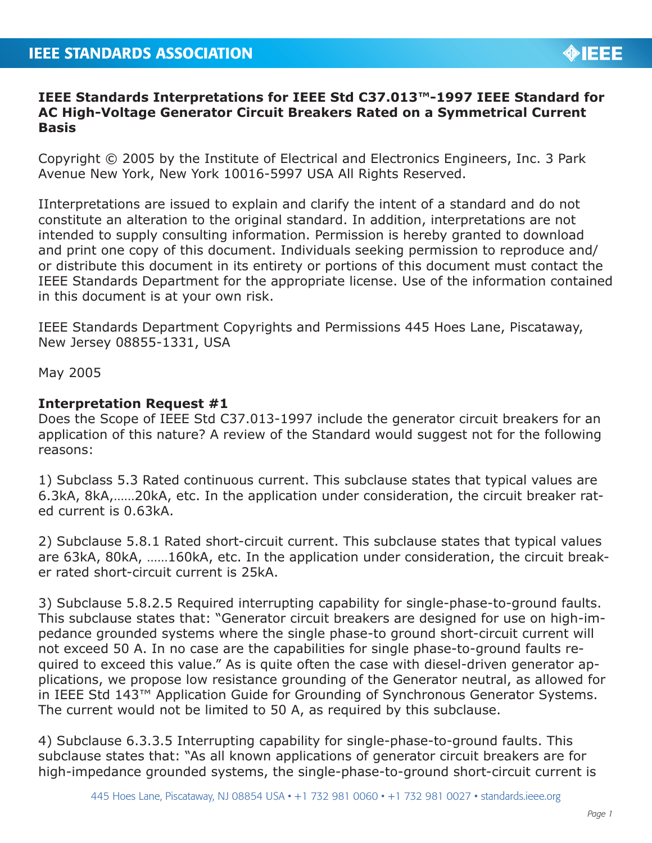## **IEEE Standards Interpretations for IEEE Std C37.013™-1997 IEEE Standard for AC High-Voltage Generator Circuit Breakers Rated on a Symmetrical Current Basis**

Copyright © 2005 by the Institute of Electrical and Electronics Engineers, Inc. 3 Park Avenue New York, New York 10016-5997 USA All Rights Reserved.

IInterpretations are issued to explain and clarify the intent of a standard and do not constitute an alteration to the original standard. In addition, interpretations are not intended to supply consulting information. Permission is hereby granted to download and print one copy of this document. Individuals seeking permission to reproduce and/ or distribute this document in its entirety or portions of this document must contact the IEEE Standards Department for the appropriate license. Use of the information contained in this document is at your own risk.

IEEE Standards Department Copyrights and Permissions 445 Hoes Lane, Piscataway, New Jersey 08855-1331, USA

May 2005

## **Interpretation Request #1**

Does the Scope of IEEE Std C37.013-1997 include the generator circuit breakers for an application of this nature? A review of the Standard would suggest not for the following reasons:

1) Subclass 5.3 Rated continuous current. This subclause states that typical values are 6.3kA, 8kA,……20kA, etc. In the application under consideration, the circuit breaker rated current is 0.63kA.

2) Subclause 5.8.1 Rated short-circuit current. This subclause states that typical values are 63kA, 80kA, ……160kA, etc. In the application under consideration, the circuit breaker rated short-circuit current is 25kA.

3) Subclause 5.8.2.5 Required interrupting capability for single-phase-to-ground faults. This subclause states that: "Generator circuit breakers are designed for use on high-impedance grounded systems where the single phase-to ground short-circuit current will not exceed 50 A. In no case are the capabilities for single phase-to-ground faults required to exceed this value." As is quite often the case with diesel-driven generator applications, we propose low resistance grounding of the Generator neutral, as allowed for in IEEE Std 143™ Application Guide for Grounding of Synchronous Generator Systems. The current would not be limited to 50 A, as required by this subclause.

4) Subclause 6.3.3.5 Interrupting capability for single-phase-to-ground faults. This subclause states that: "As all known applications of generator circuit breakers are for high-impedance grounded systems, the single-phase-to-ground short-circuit current is